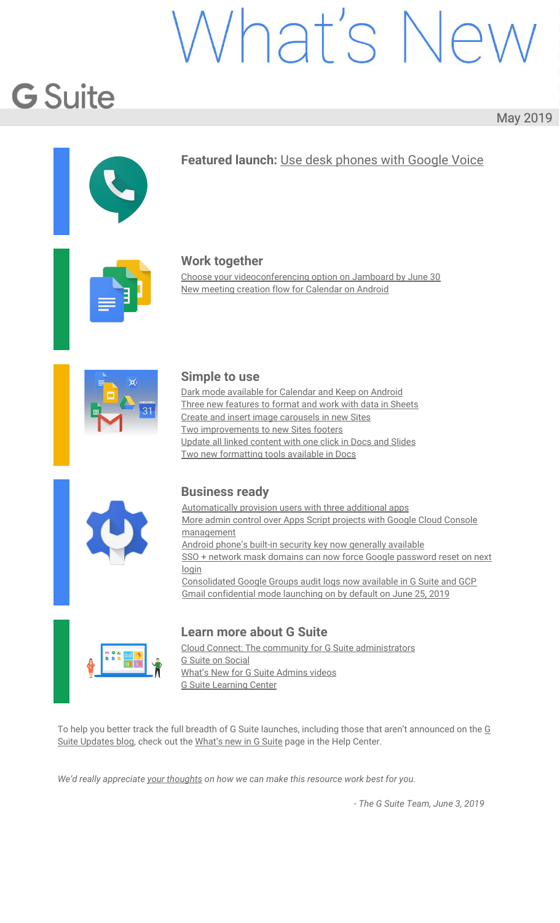# Vhat's N

## **G** Suite

#### May 2019

<span id="page-0-0"></span>

#### **Featured launch:** Use desk [phones](#page-1-0) with Google Voice



#### **Work together**

Choose your [videoconferencing](#page-2-0) option on Jamboard by June 30 New meeting creation flow for [Calendar](#page-3-0) on Android



#### **Simple to use**

Dark mode available for [Calendar](#page-4-0) and Keep on Android Three new [features](#page-5-0) to format and work with data in Sheets Create and insert image [carousels](#page-7-0) in new Sites Two [improvements](#page-8-0) to new Sites footers Update all linked [content](#page-10-0) with one click in Docs and Slides Two new [formatting](#page-11-0) tools available in Docs



#### **Business ready**

[Automatically](#page-12-0) provision users with three additional apps More admin control over Apps Script projects with Google Cloud [Console](#page-12-1) [management](#page-12-1) Android phone's built-in security key now [generally](#page-13-0) available SSO + network mask domains can now force Google [password](#page-14-0) reset on next [login](#page-14-0) [Consolidated](#page-15-0) Google Groups audit logs now available in G Suite and GCP Gmail [confidential](#page-16-0) mode launching on by default on June 25, 2019



#### **Learn more about G Suite**

Cloud Connect: The community for G Suite [administrators](#page-18-0) G Suite on [Social](https://docs.google.com/document/d/1WLBroOtWzJn9eDAsM20Wg1CiI9ENu6Ic9IyonSkW9ZQ/edit?ts=5cf56d3a#bookmark=id.b665573telbp) What's New for G Suite [Admins](#page-18-1) videos G Suite [Learning](#page-19-0) Center

To help you better track the full breadth of G Suite launches, including those that aren't announced on the [G](https://gsuiteupdates.googleblog.com/) Suite [Updates](https://gsuiteupdates.googleblog.com/) blog, check out the [What's](https://support.google.com/a/go/whatsnew) new in G Suite page in the Help Center.

*We'd really appreciate your [thoughts](https://docs.google.com/a/google.com/forms/d/19AJmnJuG_JWdOTSf0B_kL1DFemE8bbkJbZ42Iz6uDx0/viewform) on how we can make this resource work best for you.*

*- The G Suite Team, June 3, 2019*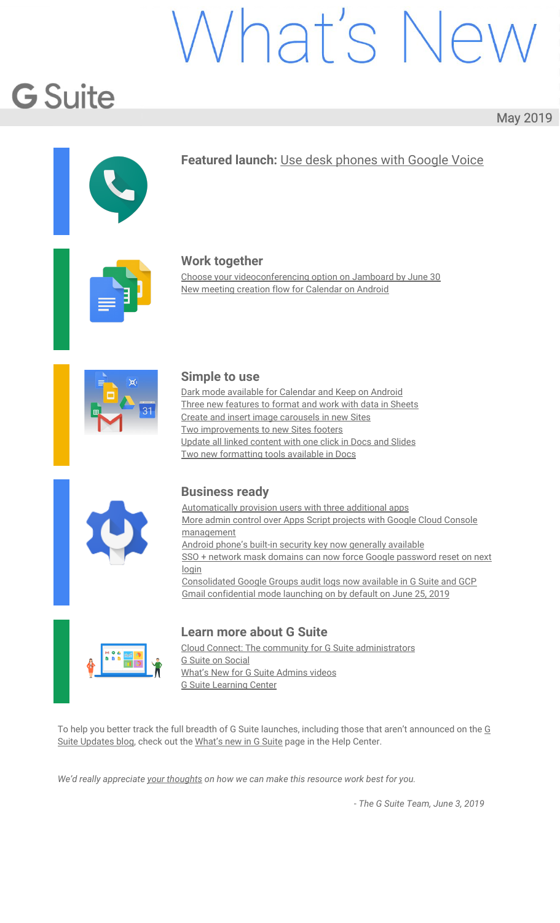## <span id="page-1-0"></span>Featured launch: Use desk phones with Google Voicer

Announced May 23rd, 2019 **Share with your organization** - [back](#page-0-0) to top - back to top

#### **What's changing**

It's now easier to set up and manage desk phones with Google Voice. Specifically, you can now use the Admin console to:

See all desk phones in your organization, including the model, phone status, assigned user, and more. Provision a [Polycom](https://www.polycom.com/partners/find-a-partner/cloud-video-partner/google.html) VVX x50 OBi Edition device to a specific user in just a few clicks. When you provision a phone, the user's number will be assigned to the phone after an automatic update.

Use our Help Center to find out more and watch a brief video about how to set up desk [phones](https://support.google.com/a/answer/9250113) with Google [Voice](https://support.google.com/a/answer/9250113).

#### **Who's impacted**

Admins and end users

#### **Why you'd use it**

While Google Voice gives you the flexibility to use your work phone number on any device, there may be times when a desk phone is preferred or helps ease the transition from a legacy telephony system to Google Voice.

#### **How to get started**

**Admins:** Use our Help Center to see how to provision a desk phone for Voice.

**End users:** Once a desk phone has been set up for you by an admin, see how to use a desk phone with Voice.



#### **Video: Get started with Google Voice desk [phones](https://www.youtube.com/watch?v=mjmd8FUEMGU)**

#### **Helpful links**

Help Center [\(admins\):](https://support-content-draft.corp.google.com/a/answer/9250113) Set up desk phones Help Center (end [users\):](https://support.google.com/voice/answer/9255292) Use a desk phone with Voice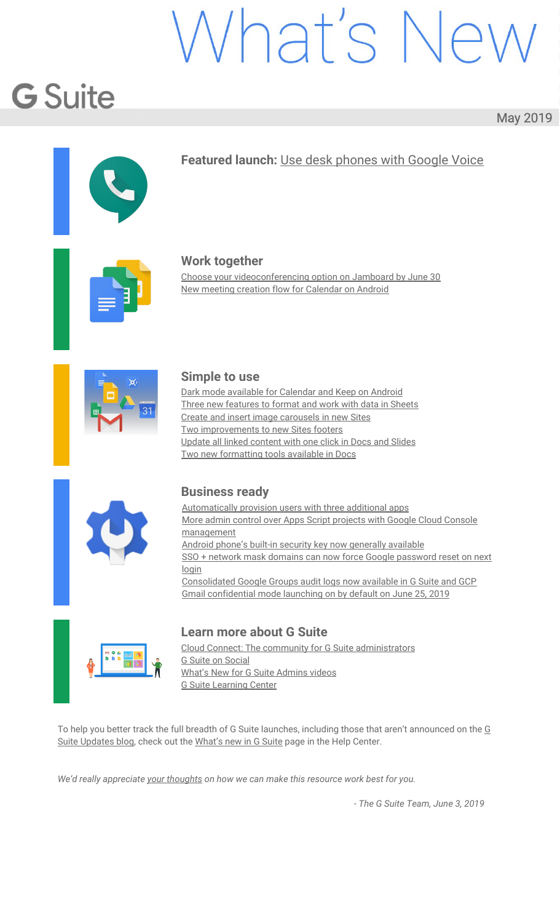## Work together

#### <span id="page-2-0"></span>Choose your videoconferencing option on Jamboard by June 30

Announced on May 13th, 2019 Share with your organization - [back](#page-0-0) to top -

#### **What's changing**

Starting on May 13th, you can choose whether or not to enable an enhanced Jamboard videoconferencing experience with Hangouts Meet on Jamboard devices. If you don't configure your boards to enable or disable this feature by June 30th, your boards will be automatically enabled. The improved experience replaces the current "Connect to Meeting" feature to:

**Add full screen videoconferencing to Jamboards:** Jamboard will use Hangouts Meet for a better videoconference experience.

**Pair to a calendar:** Pair your board to a calendar resource in the admin console to make it a bookable resource and make it easier to start or join a meeting directly from the board.

For Jamboards in large rooms or open spaces, we recommend setting up the Jamboard with peripherals to provide the best audio quality. Review our deployment [recommendations](https://support.google.com/jamboard/answer/9322768) and information below to make sure you provide your users with the best experience.

#### **Who's impacted**

Admins and end users

#### **Why you'd use it**

The enhanced Jamboard videoconferencing will use Hangouts Meet to expand how you can use your Jamboards. Now, you can have a video conferencing call, a collaborative session with the digital whiteboard, or both at once—all with a single Jamboard. Specifically, Meet on Jamboard will:

Add full screen videoconferencing for when you want to talk to meeting participants Make it easy to switch between videoconferencing and sharing the digital whiteboard Improve screen sharing from other devices to a Jamboard so you can present to the meeting Allow pairing a Jamboard to a calendar resource to easily start or join a meeting directly from the board.

#### **How to get started**

**Admins:** Review these deployment [recommendations](https://support.google.com/jamboard/answer/9322768) and enable or disable the [upgrade](https://support.google.com/jamboard/answer/9289770) on your [boards.](https://support.google.com/jamboard/answer/9289770)

**End users:** If enabled, see how to use Meet on [Jamboards](https://support.google.com/jamboard/answer/9317130) here.

#### **Additional Details**

Choose whether to enable the feature on your Jamboards by June 30

By June 30, admins should choose which configuration to use for each Jamboard and ensure that the Jamboards are properly deployed within your organization for optimal video meeting experience ([deployment](https://support.google.com/jamboard/answer/9322768) [recommendations](https://support.google.com/jamboard/answer/9322768)).

If you enable full screen videoconferencing, the feature will be enabled immediately on the board. If you turn it off, the feature will not be enabled, but can be enabled any time in the future. If you decide to pair the Jamboard with a Hangouts Meet hardware device, you will be able to use both Jamboard and Hangouts Meet hardware in the same room.

To opt-in for this videoconferencing update on your Jamboard, please log on to admin console and [manually](https://support.google.com/jamboard/answer/9289770) enable the [upgrade](https://support.google.com/jamboard/answer/9289770). If no option is selected before June 30, all boards that are not currently paired to Hangouts Meet devices will auto-upgrade.

#### **Turn the feature on or off at any time**

You can enable or disable videoconferencing or change pairing set-ups for each Jamboard at any time. If you choose to disable the upgrade now, you can still enable it at any time in the future to rollout the feature on your own timeline.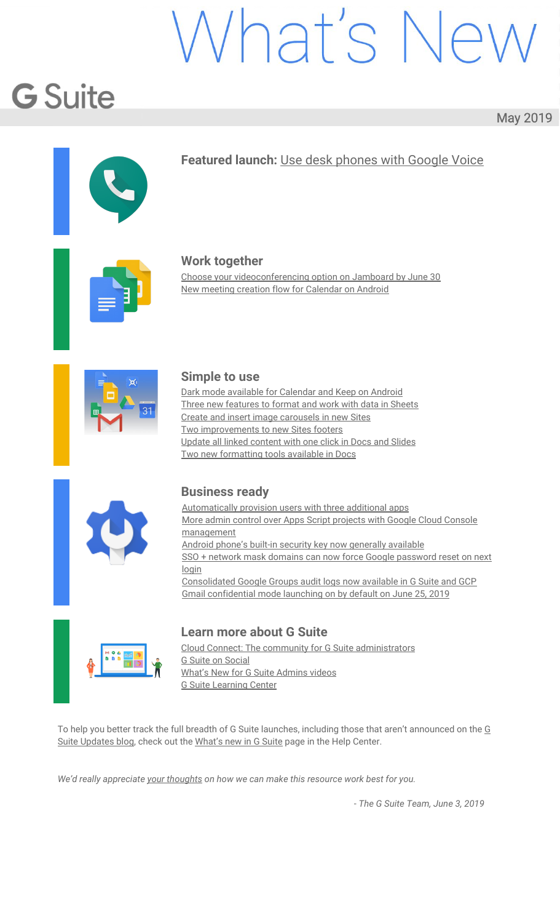#### **Helpful links**

Deployment [recommendations](https://support.google.com/jamboard/answer/9322768) to set up your meeting room Help Center (admins): Set up [Jamboards](https://support.google.com/jamboard/answer/9289770) for video meetings

#### <span id="page-3-0"></span>New meeting creation flow for Calendar on Android

Announced on May 7th, 2019 Share with your organization - [back](#page-0-0) to top - back to top -

#### **Quick launch summary**

We recently [announced](https://gsuiteupdates.googleblog.com/2019/04/save-time-with-new-scheduling-features-calendar.html) a new event creation flow for Calendar on the web. We're now making similar improvements to save you time and make it easier to create or edit [events](https://support.google.com/calendar/answer/72143) on your Android device.

You'll see several changes when creating/editing a meeting on Android such as:

**Maintain visual access to calendar grid:** Now, you can collapse or expand the creation/edit view, so you can go back and forth between this screen and the Calendar grid. This allows you to interact directly with the Calendar grid by tapping on the desired time slot, drag & dropping vertically to another time in the same day, or horizontally to another day.

**See guest availability without leaving the create/edit view:** Easily see the availability of guests directly on the Calendar grid, as their calendars will load as you add them to the event. Google Calendar may also suggest a title for the meeting. After adding guests, organizers can see schedules of their guests by clicking on "View Schedules" or by dragging down the Creation View.

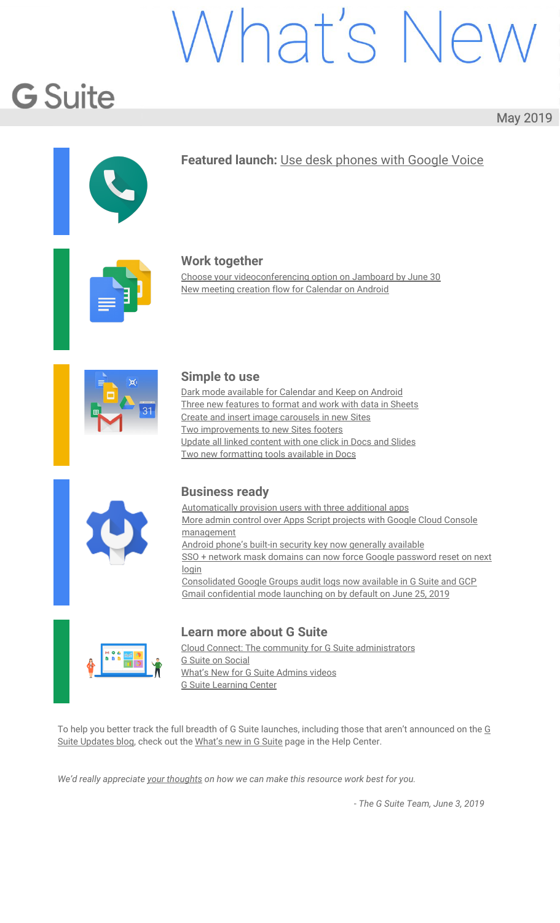## Simple to use

#### <span id="page-4-0"></span>Dark mode available for Calendar and Keep on Android

Announced on May 20th, 2019 Share with your organization - [back](#page-0-0) to top -

#### **What's changing**

Google Calendar and Keep will now support Dark mode on Android.



*Dark mode for Google Calendar.*



*Dark mode for Google Keep.*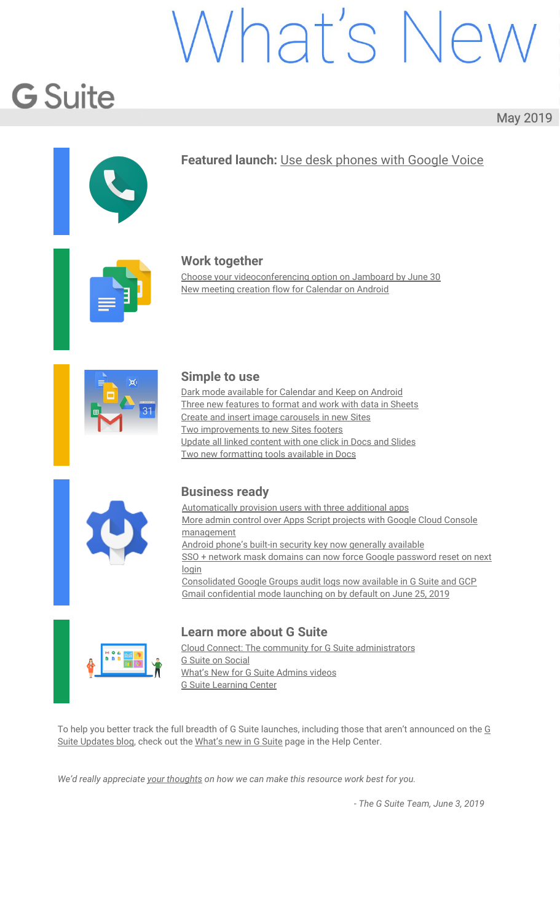#### **Why you'd use it**

Dark mode is a popular feature that's frequently requested by Calendar and Keep users. It creates a better viewing experience in low-light conditions by reducing brightness.

#### **How to get started**

**Admins:** No action required. **End users:** Calendar Enable Dark mode by going to *Settings > General > Theme*. Keep Enable Dark mode by going to *Settings > Enable Dark Mode*.

#### **Additional details**

Both Calendar and Keep apps need to be updated to the latest version of the app to see this feature.

#### **Calendar**

Dark mode for Calendar will be supported on devices with Android N+ (i.e. Nougat and more recent releases).

Android Q users can set their OS to Dark mode, which means Calendar and all other apps will be in Dark mode by default. If users do not have their OS set to Dark mode, they can enable Dark mode in Calendar's settings (see above).

For pre-Android-Q devices, users will be able to configure Calendar to go into Dark Mode when the device enters battery saving mode.

#### **Keep**

Dark mode for Keep will be supported on devices with Android L-P. For these devices, Dark mode can be enabled from Keep's settings (see above).

For Android Q devices, Dark will be on by default if the OS is set to Dark mode. Or, it can be enabled in Keep's settings (see above).

#### <span id="page-5-0"></span>Three new features to format and work with data in Sheets

Announced on May 8th, 2019 **Share with your organization** - [back](#page-0-0) to top - back to top

#### **What's changing**

We're introducing three new features that will help you clean up and work with your data in Sheets. These features are:

Remove duplicates Trim whitespace Compatible spreadsheet shortcuts

**Who's impacted** End users

#### **Why you'd use them Remove duplicates:**

A highly requested feature, you can use this tool to easily remove duplicate values from your sheet, saving you time by eliminating the need to write an app script or manually remove duplicate data.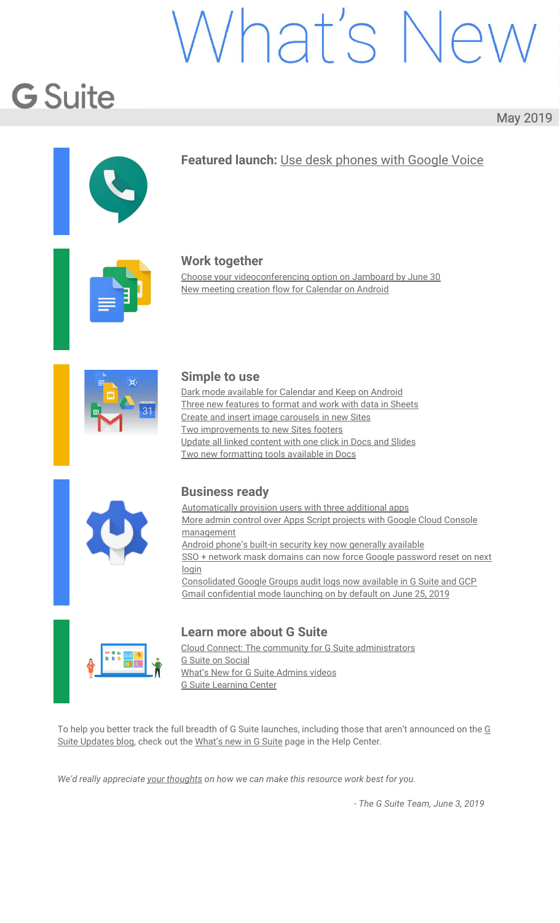#### **Trim whitespace:**

Sometimes when you add data to a sheet, it may not be the format you need. Now, you can easily keep your sheet standardized by using the trim whitespace feature to remove any leading, trailing, or excessive whitespace from a cell or array of data.

#### **Compatible keyboard shortcuts:**

You can now use popular keyboard shortcuts from other spreadsheets in Sheets. These familiar shortcuts will make navigating and working with data in Sheets quicker for users.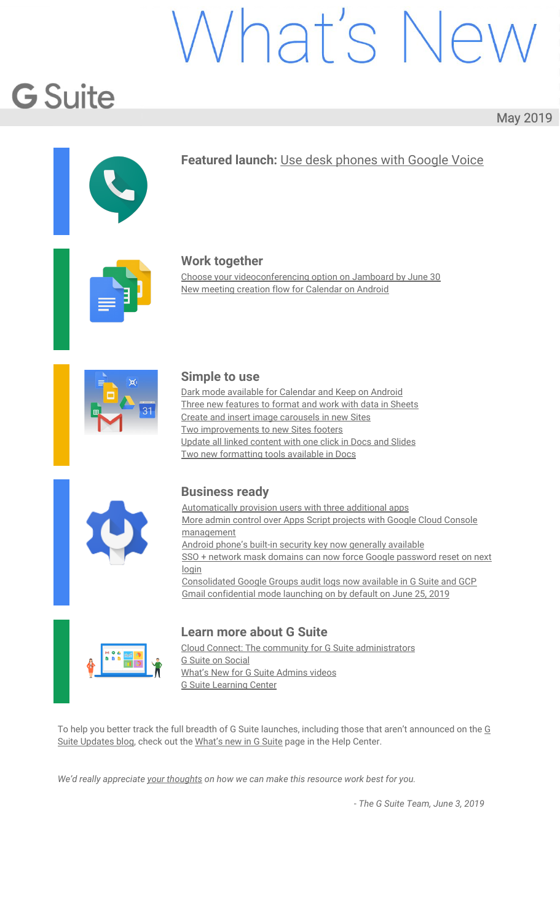| Keyboard shortcuts                     | $\alpha$<br>Search keyboard shortcuts                     |                               |                                                          | ×           |
|----------------------------------------|-----------------------------------------------------------|-------------------------------|----------------------------------------------------------|-------------|
| Editing                                | Editing                                                   |                               |                                                          |             |
| Menus                                  | Paste format only                                         |                               | 36+Option+V                                              |             |
| Formatting                             | Absolute/relative references (when entering a<br>formula) |                               | FA                                                       |             |
| Data                                   | Copy                                                      |                               | 銘C                                                       |             |
| Review                                 | Cut                                                       |                               | 38X                                                      |             |
| Selection                              | Delete rows/columns or Open delete menu                   |                               | 第+Option+                                                | G           |
| Screen reader support                  | Enable legacy shortcuts                                   |                               |                                                          |             |
| File commands                          | Fill down                                                 |                               | <b>Compatible spreadsheet</b><br>shortcuts are supported |             |
| View                                   | Fill range                                                | Enable compatible spreadsheet |                                                          |             |
| Navigation                             | Fill right                                                | you are used to               | shortcuts and use the key commands                       |             |
| Enable compatible spreadsheet shortcut |                                                           | <b>DISMISS</b>                |                                                          | <b>HELP</b> |

#### **How to get started**

**Admins:** No action required. **End users:**

#### **To remove duplicates from a range of data:**

Select range of data in your sheet

From the toolbar, select *Data > Remove duplicates*. In the dialogue box, you'll see your selected range of data.

Select Remove duplicates. You'll see an additional dialogue box that details how many duplicates were removed from your dataset.

#### **To trim whitespaces:**

Select a cell or range of data that contains whitespace on your sheet From the toolbar, select *Data > Trim whitespace* You'll then see a dialogue box that details how many cells whitespace was removed from.

#### **To enable compatible keyboard shortcuts:**

Users can access keyboard shortcuts by going to *Help > Keyboard shortcuts*.

From here, you can see a list of keyboard shortcuts and their corresponding

commands. Note that compatible shortcuts will be denoted with an info icon.

At the bottom, you can enable compatible spreadsheet shortcuts.

You can click "View compatible shortcuts" at the bottom right to see a complete list of all newly available shortcuts.

#### **Additional details**

The remove duplicates and trim whitespaces features will be supported in Apps Script, macro recording, and one platform APIs in early June 2019.

#### **Helpful links**

Keyboard [shortcuts](https://support.google.com/docs/answer/179738?hl=en) for Google Docs Split text, remove duplicates, or trim [whitespace](https://support.google.com/docs/answer/6325535?hl=en&ref_topic=9066125) in Sheets [Separate](https://support.google.com/docs/answer/6325535?hl=en&ref_topic=9066125) cell text into columns

#### <span id="page-7-0"></span>Create and insert image carousels in new Sites

Announced on May 7th, 2019 **Share with your organization** - [back](#page-0-0) to top -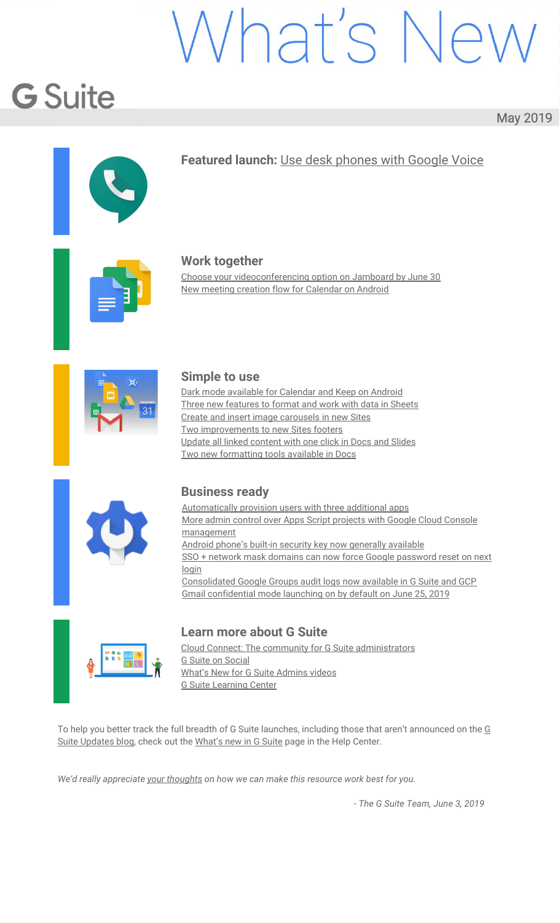#### **Quick Launch Summary:**

We're making it easier for site editors to share a selection of images in new Sites by creating a new image carousel. You can use this new content type to highlight images on your site, like a project page where you can feature concepts and designs, or share photos from a conference on an event page.

To insert an image carousel to your Site:

In the right sidebar, click *Insert > Image carousel* Select images to upload or select from already uploaded images. Drag images to reorder as desired. Hover over the image to delete or add alt text.

To set carousel settings, click the **gear icon** to the top right and select from the following: **Auto start:** images in the carousel will automatically cycle. **Show dots:** displays progress indicators for the carousel.



#### <span id="page-8-0"></span>Two improvements to new Sites footers

Announced on May 14th, 2019 Share with your organization - [back](#page-0-0) to top -

#### **What's changing**

We're making two changes to footers in new Google Sites. Specifically, we're:

Removing the current footer appended at the bottom of all new Sites, which contains "Made with new Google Sites…" language and the "Create a site" button.

Adding the ability for site editors to show the last time a page was updated via a newly designed site info icon.

#### **Before:**

Made with the new Google Sites, an effortless way to create beautiful sites.

Create a site Report abuse

**After:**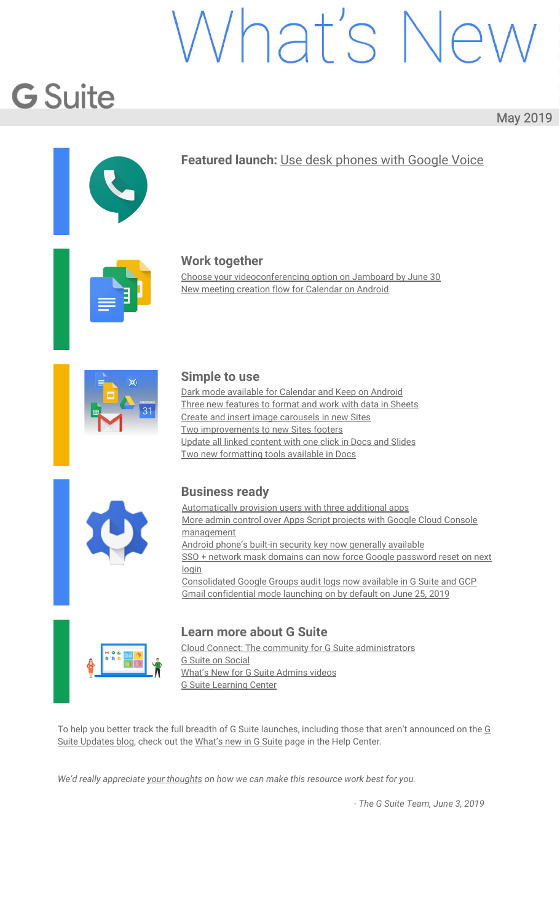

Date: May 3 Time: 1:30 pm Location: Center for the Arts



 $\lambda$ 

#### **Who's impacted** Admins and end users

#### **Why you'd use it**

#### **Removing the promotional footer:**

We heard your feedback that the Google branding and "Create a site" button at the bottom of new Sites' pages can distract site viewers and make your site feel less professional. We're removing that branding, so your site viewers can focus on your content.

#### **Display the time a site's page was last updated:**

You've told us that it's sometimes challenging for site viewers to determine how up to date the site content is that they are viewing. With this new feature, you can have all sites in your domain display the last updated date by default (in a newly introduced site info icon)  $-$  simply by adjusting a single admin setting, see more below.

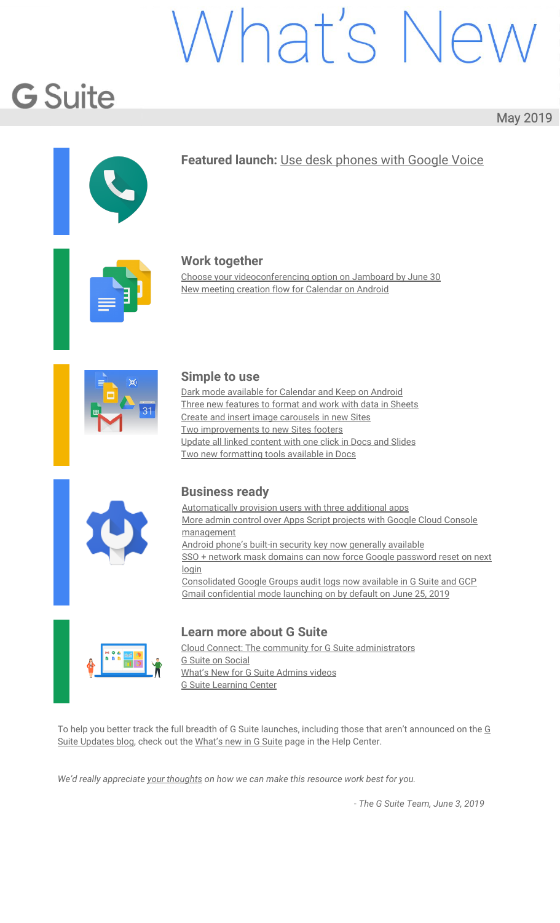#### **How to get started**

- **Admins:** Control whether the "Last updated time" setting is available for site editors in your domain at *Apps > G Suite > Settings for Sites*. Under Last updated time, you can select:
	- **OFF:** To disable site editors from ever displaying the last updated time on a site.
		- **ON:** To give **site editors** the option to turn last updated time on or off.
			- When this setting is selected, last updated time will be defaulted to on for **newly created sites going forward.**
		- **FORCED:** To **always** show last updated time for all sites **editors cannot disable**.
			- When this setting is selected, **all sites** will display the last updated time. We recommend this option, as it ensures site viewers can quickly determine if a site is
			- up to date.

**End users:** Depending on which of the above settings your admin selects, site editors can take the following actions:

- **OFF**: No action can be taken last updated time will be disabled.
- **ON**: Editors can toggle last updated time on or off on a per site basis by going to the *More menu > Site info settings* from within new Sites.
- FORCED: No action can be taken, last updated time will be displayed.

#### **Additional details**

We're removing the "Made with new Google Sites" language and "Create a site" button that was previously included in the footer of all sites created with new Sites.

The "Report abuse" link (which is only shown in certain scenarios) and the "Site details" link (viewable to Admins only) are not being removed and can be found in the newly designed site info icon (lower left hand corner on a site) moving forward.

#### **Helpful links**

Control the Last [updated](https://support.google.com/a/answer/9330841) time settings

#### <span id="page-10-0"></span>Update all linked content with one click in Docs and Slides

Announced on May 24th, 2019 Share with your organization - [back](#page-0-0) to top -

#### **What's changing**

We're adding a new "Linked objects" sidebar where users can see all linked content in their documents, such as embedded charts, tables, slides, and drawings.

#### **Who's impacted** End users

#### **Why you'd use it**

The Linked objects sidebar gives users the ability to quickly access all linked content to see if anything is outdated and update all the content with a single click.

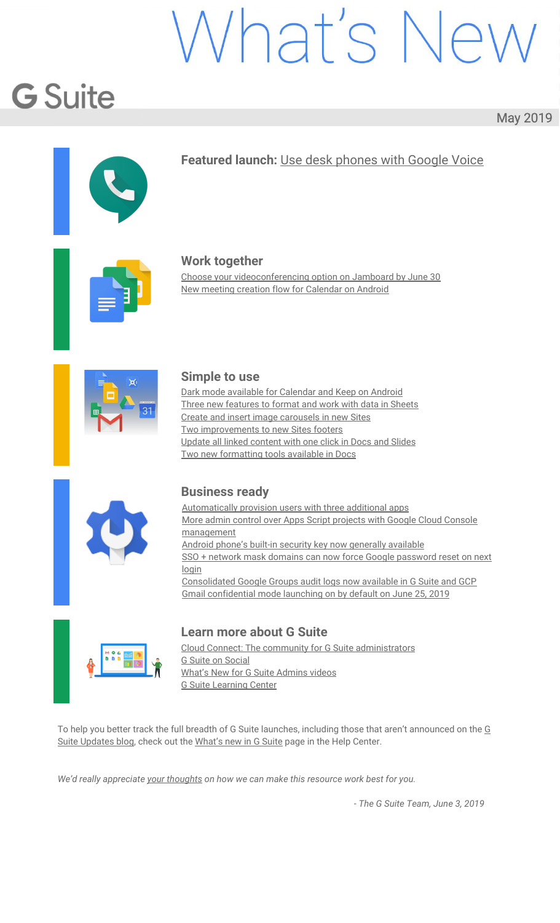**How to get started Admins:** No action required. **End users:** To update the data in a multiple charts or tables:

> In Docs or Slides, at the top click *Tools > Linked objects*. A sidebar will open on the right, at the bottom click **"Update all"**. Note: Click **Update** next to specific objects to update them individually.

#### **Additional details**

If you don't see Update or Update All, your charts, tables, or slides may not be linked. To learn how to link charts, tables, or slides see this article in our Help [Center](https://support.google.com/docs/answer/7009814).

#### **Helpful links**

Update charts, tables, slides or drawings in a document or [presentation](https://support.google.com/docs/answer/7009814) Link a chart, table, or slide to [Google](https://support.google.com/docs/answer/7009814) Docs or Slides

#### <span id="page-11-0"></span>Two new formatting tools available in Docs

Announced on May 30th, 2019 Share with your organization - [back](#page-0-0) to top -

#### **Quick launch summary**

We're introducing two new features in Google Docs that will help you format your work:

#### **Insert section breaks and view section breaks in your doc**

You can now insert a next page or continuous section break in Google Docs by going to *Insert > Break*. From here, you can select next or continuous. Note both types of breaks will start at the place of your cursor location.

To easily view where section breaks are located in your document, you can use the new show section breaks tool by going to *View > Show section breaks*. When Show selection breaks is enabled, you'll see a blue dotted line where each section break is located.

#### **Adjust margins per section**

It's now possible to use the ruler to adjust the left and right margins by section. Previously, it was only possible to adjust the margins for the entire document.

If you don't make a selection, the ruler will adjust the margins for the section that corresponds to the cursor location. Or, you can highlight multiple sections of your doc to be adjusted.

You can also adjust margins per-section by going to *File > Page Setup*.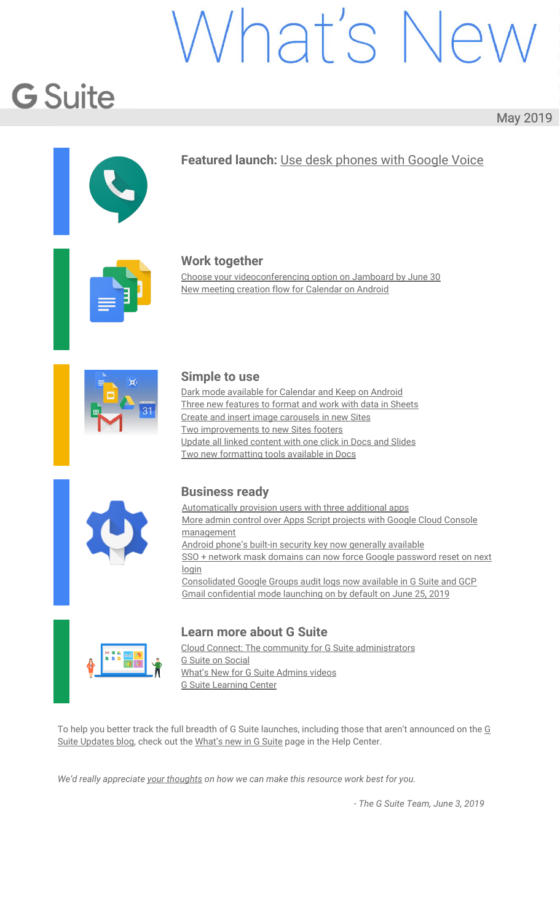## Business ready

#### <span id="page-12-0"></span>Automatically provision users with three additional apps

Announced on May 20th, 2019 **Administrative Administrative** - [back](#page-0-0) to top - back to top -

#### **What's changing**

We're adding auto-provisioning support for three new applications:

Hootsuite Huddle **OfficeSpace** 

**Who's impacted**

Admins only

#### **Why you'd use it**

When auto-provisioning is enabled for a supported third-party application, any users created, modified, or deleted in G Suite are automatically added, edited, or deleted in the third-party application as well. This feature is highly popular with admins, as it removes the overhead of managing users across multiple third-party SaaS applications.

#### **How to get started**

Admins: For more information on how to set up auto-provisioning, check out the Help [Center.](https://support.google.com/a/topic/6400789) **End users:** No action needed.

#### **Helpful links**

Help Center: Automated user [provisioning](https://support.google.com/a/topic/6400789) Help Center: Using SAML to set up [federated](https://support.google.com/a/topic/6194927) SSO

#### <span id="page-12-1"></span>More admin control over Apps Script projects with Google Cloud Console management

Announced on May 16th, 2019 **Adminited as Adminited Adminited Adminited Adminited Adminited Adminited Adminited Adminited Adminited Adminited Adminited Adminited Adminited Adminited Adminited Adminited Adminited Adminited** 

#### **What's changing**

We're changing how Apps [Script](https://developers.google.com/apps-script/) manages Google Cloud Platform (GCP) projects. This will help IT Admins govern these [projects](https://developers.google.com/apps-script/guides/cloud-platform-projects#default_cloud_platform_projects) and simplify how developers manage projects as well. New Apps Script GCP projects will now live in a new folder ("apps-script") in the GCP resource hierarchy. This means that new Apps Script projects will be governed by [organization](https://cloud.google.com/resource-manager/docs/organization-policy/overview) policies defined for GCP projects by IT admins.

#### **Who's impacted**

Admins, Apps Script developers, and end-users of Apps Script projects.

#### **Why you'd use it**

**Gives IT admins additional controls:** This feature helps make Apps Script projects more secure by providing additional control and visibility over these projects to IT administrators. Admins who have not yet defined organization policies can now do so to control Apps Script projects. Admins who have already defined organization policies are now assured that those policies will also be applied to Apps Script projects.

**Simplifies developer project management:** Developers no longer need to visit the Cloud Console to enable Google APIs - simply enabling it in the Apps Script editor is now all that's needed. **Removes 'risky' label for end users:** End users of internally-created Apps Script projects will no longer

see those projects labeled "risky" when they visit the Google Security Checkup tool at [myaccount.google.com.](http://myaccount.google.com/)

#### **How to get started**

Admins: Check your **[organization](https://cloud.google.com/resource-manager/docs/organization-policy/overview) policies** which will apply to new Apps Script projects. **Developers:** No action needed. **End users:** No action needed.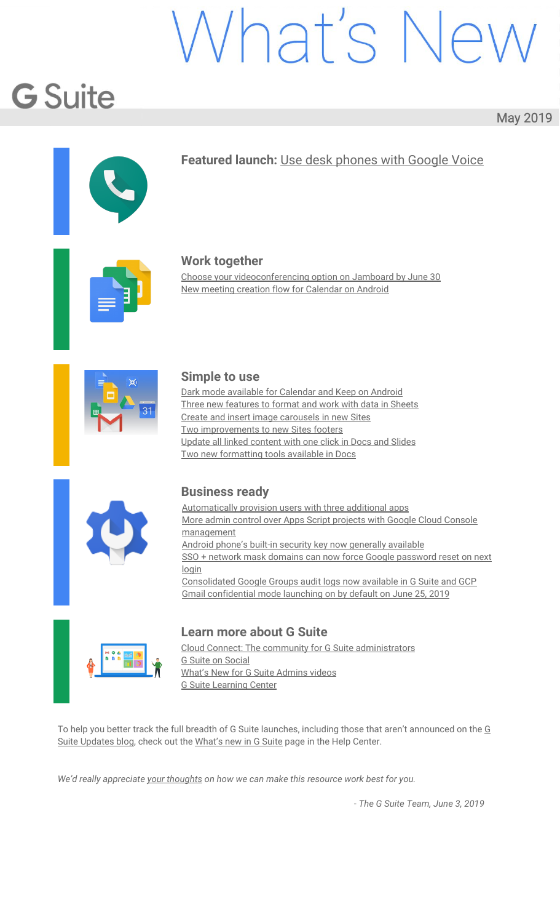#### **Additional details**

When an Apps Script project is created, a GCP project is also created and associated with it. This GCP project controls a range of configurations and settings, including API access, G Suite Marketplace API configuration for publishing add-ons, access to Stackdriver logs, and more.

Previously, these GCP Apps Script projects existed outside of the resource [hierarchy.](https://cloud.google.com/resource-manager/docs/cloud-platform-resource-hierarchy) Now, new Apps Script projects will be parented by a new "apps-script" folder in the resource hierarchy, specifically at organization root > system-gsuite (new) > apps-script (new).

This means they will be governed by [organization](https://cloud.google.com/resource-manager/docs/organization-policy/overview) policies, which give you centralized and programmatic control over your organization's cloud resources. Policies that can be managed here include the ability to restrict domains that are allowed to be on the ACL for Cloud projects, specify restricted APIs that Cloud projects can access, and block GCP projects from creating new GCE instances.

|   | Google Cloud Platform      | ٩<br>apps-script =                                                                          | ۰                                                                                   |                        |   |  |
|---|----------------------------|---------------------------------------------------------------------------------------------|-------------------------------------------------------------------------------------|------------------------|---|--|
|   | IAM & admin                | Organization policies                                                                       |                                                                                     |                        |   |  |
|   | <b>JAM</b>                 | Organization policies for folder "apps-script"                                              |                                                                                     |                        |   |  |
| θ | Identity & Organization    | Cloud Organization Policies let you constrain access to resources at and below this         |                                                                                     |                        |   |  |
| о | Organization policies      | organization, folder or project. You can edit restrictions on the policy detail page.       |                                                                                     |                        |   |  |
|   | <b>Duotas</b>              | Filter by policy name or ID<br>₹                                                            |                                                                                     |                        | ø |  |
|   |                            | Name 个                                                                                      | ID.                                                                                 | Inheritance @          |   |  |
| 咽 | Service accounts<br>Labelo | Compute Storage resource use restrictions (Compute Engine disks,<br>Images, and snapshots). | constraints/compute.storageResourceUseRestrictions                                  | Inherited              |   |  |
|   |                            | Define allowed APIs and services.                                                           | constraints/serviceuser.services                                                    | Inherited              |   |  |
| ø | Privacy & Security         | Define allowed external IPs for VM instances                                                | constraints/compute.vmExternaltpAccess                                              | Inhermed               |   |  |
| 垃 | Settings                   | Define trusted image projects                                                               | constraints/compute.trustedImageProjects                                            | inherited <sup>®</sup> |   |  |
| ® | Cryptographic Toys:        | Disable Guest Attributes of Compute Engine metadata                                         | constraints/compute.disableGuestAttributesAccess                                    | Inherited              |   |  |
|   |                            | Disable service account creation                                                            | constraints/lam.disableServiceAccountCreation.                                      | Inherited              |   |  |
| 圈 | Identity-Aware Proxy       | Disable service account key creation.                                                       | constraints/iam.disableServiceAccountNeyCreation                                    | Inherited              |   |  |
|   | Roles                      | Disable VM nested virtualization                                                            | constraints/compute.disableNestedVirtualization                                     | Inhorited              |   |  |
|   |                            | Disable VM serial port access                                                               | constraints/compute.disableSerialPortAccess                                         | Inherited              |   |  |
|   | Audit Logs                 | Disable VM serial port logging to Stackdriver                                               | constraints/compute.disableSerialPortLogging                                        | <b>Inherited</b>       |   |  |
|   |                            | Domain restricted sharing                                                                   | constraints/lam.allowedPolicyMemberDomains                                          | <i>leherited</i>       |   |  |
|   |                            | Enforce Bucket Policy Only                                                                  | constraints/storage bucketPolicyOnly                                                | Inherited              |   |  |
|   |                            | Restrict shared VPC project lien removal                                                    | constraints/compute.restrictXpnProjectLienRemoval                                   | inherited.             |   |  |
|   |                            | Retention policy duration in seconds                                                        | constraints/storage.retentionPolicySeconds<br>constraints/compute.requireShieldedVm | Inherited              |   |  |
|   |                            | Shielded VMs                                                                                |                                                                                     | Inherited              |   |  |
|   |                            | Skip default network creation                                                               | constraints/compute.skipDefaultNetworkCreation                                      | Inherited              |   |  |
|   |                            |                                                                                             | Rows per page:<br>$50 -$                                                            | $1 - 16$ of 16         |   |  |

#### **Helpful links**

Apps Script [information](https://developers.google.com/apps-script/) and resources [Documentation:](https://cloud.google.com/resource-manager/docs/organization-policy/overview) Introduction to the Organization Policy Service [Documentation:](https://cloud.google.com/resource-manager/docs/cloud-platform-resource-hierarchy) Resource Hierarchy

#### <span id="page-13-0"></span>Android phone's built-in security key now generally available

Announced on May 7th, 2019 **Share with your organization** - [back](#page-0-0) to top - back to top -

#### **Quick launch summary**

At Next 2019, we announced beta functionality to use an Android phone's built-in [security](https://gsuiteupdates.googleblog.com/2019/04/android-phone-security-key-2fa.html) key for 2-step [verification.](https://gsuiteupdates.googleblog.com/2019/04/android-phone-security-key-2fa.html) We're now making this generally available. All phones running Android 7.0+ (Nougat) have a built-in key that can be **[activated](https://support.google.com/accounts/answer/9289445?p=phone-security-key)**. This means your users can use existing phones for multi-factor authentication in G Suite to protect against phishing.

For more details, see our beta [announcement](https://gsuiteupdates.googleblog.com/2019/04/android-phone-security-key-2fa.html) or our [Cloud](https://cloud.google.com/blog/products/identity-security/now-generally-available-android-phones-built-in-security-key) Blog post.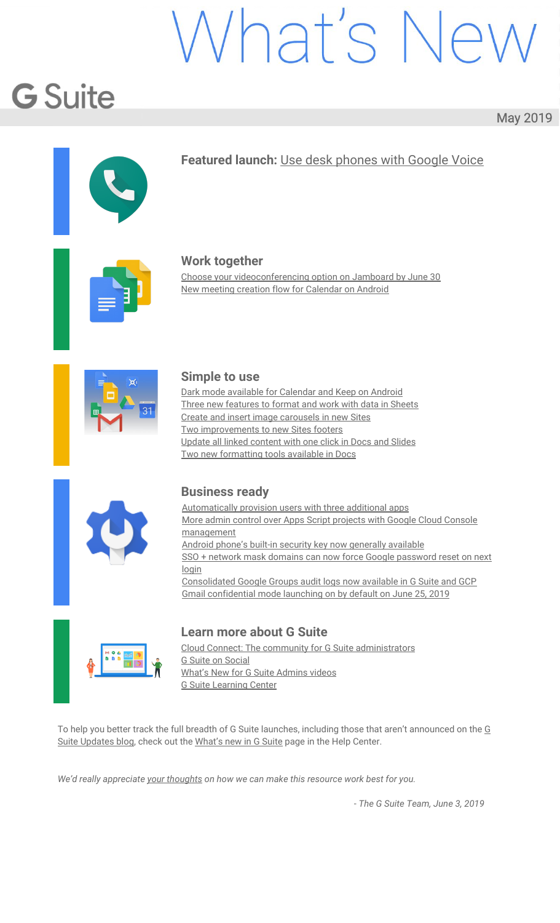#### <span id="page-14-0"></span>SSO + network mask domains can now force Google password reset on next login

Announced on May 23rd, 2019 **Admin feature** Admin feature - [back](#page-0-0) to top -

#### **What's changing**

We're providing more control over user password policies for some customers using [third-party](https://support.google.com/a/answer/60224) identity [providers](https://support.google.com/a/answer/60224) (IdPs) via SAML. Previously, these customers could not enforce the "Require password change" setting for their users. Now, SSO customers who have a [network](https://support.google.com/a/answer/6369487) mask defined can turn on this setting and force their users to change their Google password the next time they log in using their G Suite or Cloud Identity credentials.

#### **Who's impacted**

Admins only

#### **Why you'd use it**

For many customers who use third-party IdPs via SAML, preventing "Require password change" is the desired behavior. Their users only need to know their credentials for their IdP so forcing them to change their Google password is not meaningful.

However, some G Suite admins in domains with a third-party IdP use a network mask to allow some of their users to log in using their G Suite or Cloud Identity credentials. In such deployments, there may be users who sign in using their G Suite credentials. For these users, admins may want to generate a temporary password and then have the user change it on the next login. This update will help admins of domains that use SSO and a network mask to do this.

#### **How to get started**

**Admins:** This update will only impact domains with a SAML IdP configured for SSO and a network mask. To check if you have a network mask, go to Admin console > Security > Network masks and see if there's information defined.

| Google Admin<br>≡ | Q                                            | Search for users, groups, and settings (e.g. verify your domain)                                                                                                                                                                                                                                                |  | 用 |  |
|-------------------|----------------------------------------------|-----------------------------------------------------------------------------------------------------------------------------------------------------------------------------------------------------------------------------------------------------------------------------------------------------------------|--|---|--|
| Security          |                                              |                                                                                                                                                                                                                                                                                                                 |  |   |  |
|                   | Setup SSO with third party identity provider |                                                                                                                                                                                                                                                                                                                 |  |   |  |
|                   |                                              | To setup third party as your identity provider, please provide the information below. $\bullet$                                                                                                                                                                                                                 |  |   |  |
|                   | Sign-in page URL                             | in/auth                                                                                                                                                                                                                                                                                                         |  |   |  |
|                   | Sign-out page URL                            | URL for signing in to your system and G Suite                                                                                                                                                                                                                                                                   |  |   |  |
|                   | Change password URL                          | URL for redoecting users to when they sign out                                                                                                                                                                                                                                                                  |  |   |  |
|                   | Verification certificate                     | URL to let users change their password in your system, when defined here, this is shown even when Single Sign-on is not<br>mutted<br>A certificate file has been uploaded. Replace certificate.<br>The certificate file must contain the public key for Google to verify sign-in requests.                      |  |   |  |
|                   | Use a domain specific issuer <sup>O</sup>    |                                                                                                                                                                                                                                                                                                                 |  |   |  |
|                   | Network masks                                | 2620:/16: 2a00:79e0:/32                                                                                                                                                                                                                                                                                         |  |   |  |
|                   |                                              | will be affected by angle aign on. If no masks are specified, 550.<br>functionality will be applied to the entire network. Use a semicolon to separate the masics. Example: (64.233.187.99/8,<br>72.14.0.0/16) For ranges, use a dash. Example: (64.233.167-204.9%/32). All network masks must end with a CIDR. |  |   |  |

Admins at domains with SAML IdP configured for SSO and a network mask can turn on the setting in the Admin console ("Require [password](https://developers.google.com/admin-sdk/directory/v1/reference/users/update) change") or via the Admin SDK ("Do Force password change on Next [Login"](https://developers.google.com/admin-sdk/directory/v1/reference/users/update)). Once turned on, it will be enforced for that user's next login. See the sample screenshot below.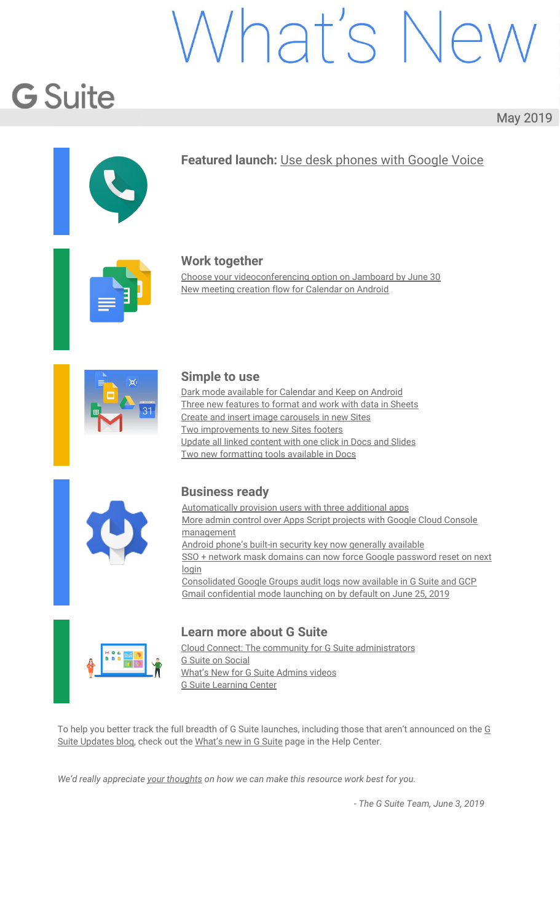| Google Admin<br>Q<br>Ξ.                                   | Search for users or settings | 噩<br>ℯ                                                                                                                                               |
|-----------------------------------------------------------|------------------------------|------------------------------------------------------------------------------------------------------------------------------------------------------|
| Users > test1 test > Security                             |                              |                                                                                                                                                      |
| test1 test                                                | Security                     | $\overline{\phantom{a}}$                                                                                                                             |
| <b>Active</b>                                             | Password settings            |                                                                                                                                                      |
| Last sign in: About 20 hours ago<br>Created: May 16, 2019 | Password                     | Reset test1's password.                                                                                                                              |
| Organizational Unit<br>octa.bigr.name                     | Security keys                | test1 has no security keys. Learn more                                                                                                               |
| RESET PASSWORD<br>40<br>RENAME USER                       | 2-step verification          | OFF   Not enforced across your organization<br>The ability for users to sign in with an additional authentication factor, in addition to using their |
| ÷<br>MORE                                                 |                              | username and password (e.g. a verification code). Change security settings<br>Only the user can turn on 2-step verification. Learn more              |
|                                                           | Require password change      | <b>ON</b>                                                                                                                                            |
|                                                           |                              | Turn off require password change so that test1 can continue using the current password.                                                              |
|                                                           |                              | <b>DONE</b>                                                                                                                                          |

If your domain has SSO but does not have a network mask configured, then there will be no change. The required password change option will show as OFF and you won't be able to turn it on. See the sample screenshot below.

| Google Admin<br>≡                                           | Search for users or settings<br>Q | m<br>G                                                                                                                                                                                                                                                                                          |
|-------------------------------------------------------------|-----------------------------------|-------------------------------------------------------------------------------------------------------------------------------------------------------------------------------------------------------------------------------------------------------------------------------------------------|
| Users > test1 test > Security                               |                                   |                                                                                                                                                                                                                                                                                                 |
| test1 test                                                  | Security                          | $\wedge$                                                                                                                                                                                                                                                                                        |
| test1@ldap-e2e-<br>test.focustest.org                       | Password settings                 |                                                                                                                                                                                                                                                                                                 |
| Active-<br>Last sign in: 1 day ago<br>Created: May 16, 2019 | Password                          | Reset test1's password.                                                                                                                                                                                                                                                                         |
| Organizational Unit<br>idap-e2e-test.focustest.org          | Security keys                     | test1 has no security keys. Learn more                                                                                                                                                                                                                                                          |
| RESET PASSWORD<br>硇<br>RENAME USER<br>MORE                  | 2-step verification               | OFF   Not enforced across your organization<br>The ability for users to sign in with an additional authentication factor, in addition to using<br>their username and password (e.g. a verification code). Change security settings<br>Only the user can turn on 2-step verification. Learn more |
|                                                             | Require password change           | OFF.<br>This password won't need to be changed once test1 signs in.                                                                                                                                                                                                                             |
|                                                             | Login challenge                   | Turn off identity questions for 10 minutes after a suspicious attempt to sign in. Learn<br>more                                                                                                                                                                                                 |

#### **Helpful links**

Help Center: Set up single sign-on for managed Google Accounts using [third-party](https://support.google.com/a/answer/60224) Identity providers G Suite Admin SDK [documentation](https://developers.google.com/admin-sdk/directory/v1/reference/users/update) for updating user details

#### <span id="page-15-0"></span>Consolidated Google Groups audit logs now available in G Suite and GCP

Announced on May 23rd, 2019 **Admin feature** Admin feature - [back](#page-0-0) to top -

#### **What's changing**

Consolidated Google Groups audit logs are now available in the G Suite [AdminSDK](https://developers.google.com/admin-sdk/reports/v1/appendix/activity/groups-enterprise) Reports API and [GCP](https://cloud.google.com/logging/docs/audit/) [Cloud](https://cloud.google.com/logging/docs/audit/) Audit Logs. Specifically you'll notice:

Changes in the G Suite AdminSDK Reports API: We're introducing a new consolidated log named groups\_enterprise, which includes changes to groups and group memberships across all products and APIs. These were previously split across the groups and admin audit logs.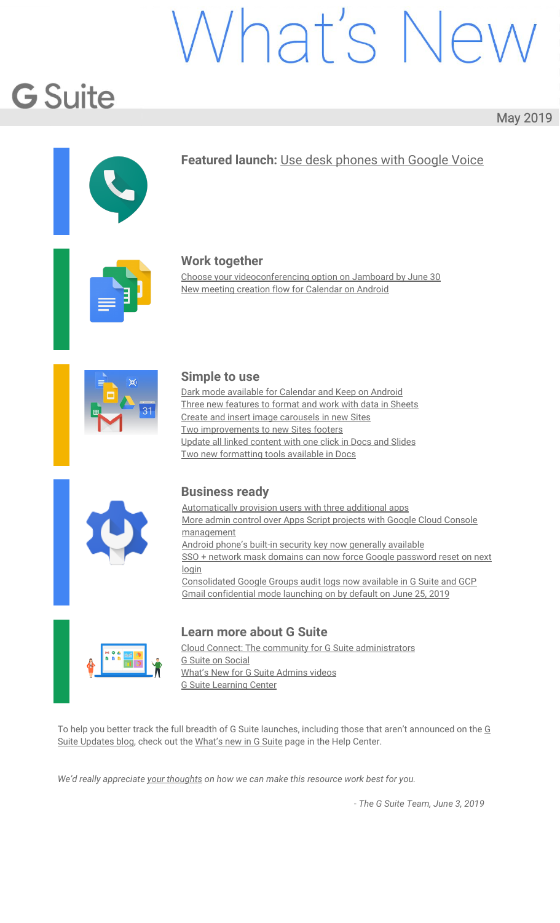Changes in GCP Cloud Audit Logging: We're adding Google Groups information to Cloud Audit Logs (CAL) in Stackdriver. See our Cloud Blog post for more details on how this could help GCP [customers](https://cloud.google.com/blog/products/identity-security/cloud-audit-logs-integrated-audit-transparency-for-gcp-and-g-suite). Note that this will not change visibility of these logs in the G Suite Admin console - it just adds them to Cloud Audit Logs (CAL) in Stackdriver as well.

#### **Who's impacted**

G Suite and GCP Admins only

#### **Why you'd use it**

These changes will help improve the security and usability of Groups as an IAM tool by streamlining administration, transparency, and access monitoring.

#### **How to get started**

**Admins:**

Changes in the G Suite AdminSDK Reports API: Get started with the [AdminSDK](https://developers.google.com/admin-sdk/reports/v1/get-start/getting-started) Reports API. Changes in GCP Cloud Audit Logging: This is an opt-in feature that can be enabled at G Suite *Admin console > Company profile > Legal & Compliance > Sharing options*. **End users:** No action needed.

#### **Additional details**

#### **Changes in the G Suite AdminSDK Reports API**

Changes to [groups](https://developers.google.com/admin-sdk/reports/v1/appendix/activity/groups) have historically been logged in either the groups or [admin](https://developers.google.com/admin-sdk/reports/v1/reference/activity-ref-appendix-a/admin-event-names) audit logs. Changes made in the Google [Groups](https://groups.google.com/) product are logged in the groups log while changes made through admin tools like the Admin console, AdminSDK, and GCDS are logged in the admin log. As part of our efforts to streamline administration and increase transparency, we're introducing a new consolidated log named [groups\\_enterprise,](https://developers.google.com/admin-sdk/reports/v1/appendix/activity/groups-enterprise) which includes changes to groups and group memberships across all products and APIs. This new log is now available through the AdminSDK Reports API and will be available in the Admin console in the future.

#### **Changes in GCP Cloud Audit Logging**

Google Groups are the recommended way to grant access to GCP resources when using IAM policies. GCP customers have told us that having group audit logs available in Google Cloud Audit Logs would help streamline security and access monitoring. With that in mind, we're adding Google Groups information to Cloud Audit Logs (CAL) in Stackdriver. See our Cloud Blog post for more details on how this can help [GCP](https://cloud.google.com/blog/products/identity-security/cloud-audit-logs-integrated-audit-transparency-for-gcp-and-g-suite) [customers.](https://cloud.google.com/blog/products/identity-security/cloud-audit-logs-integrated-audit-transparency-for-gcp-and-g-suite)

#### **Helpful links**

Cloud Blog: Integrated Google Groups Audit [Transparency](https://cloud.google.com/blog/products/identity-security/cloud-audit-logs-integrated-audit-transparency-for-gcp-and-g-suite) from G Suite to GCP Cloud Audit Logs Get started with the G Suite [AdminSDK](https://developers.google.com/admin-sdk/reports/v1/get-start/getting-started) Reports API

#### <span id="page-16-0"></span>Gmail confidential mode launching on by default on June 25, 2019

Announced on May 29th, 2019 Share with your organization - [back](#page-0-0) to top - back to top

#### **What's changing**

Earlier this year, we [announced](https://gsuiteupdates.googleblog.com/2019/03/keep-data-secure-with-gmail-confidential-mode-beta.html) the launch of Gmail [confidential](https://support.google.com/a/answer/7684332) mode for G Suite in beta. On June 25, 2019, this feature will become generally available and your users will have the option to send emails with confidential mode.

At launch, confidential mode will be set to default ON for all domains with Gmail enabled, unless you choose to disable this feature (see instructions below).

#### **Who's impacted**

Admins and end users

#### **Why you'd use it**

Confidential mode provides built-in information rights management controls in your emails by allowing senders to create expiration dates and revoke previously sent messages. Because a sender can require additional authentication via text message to view an email, it's also possible to protect data even if a recipient's email account has been hijacked while the message is active. Additionally, with confidential mode, recipients don't have the option to forward, copy, print, or download their content or attachments.

#### **How to get started**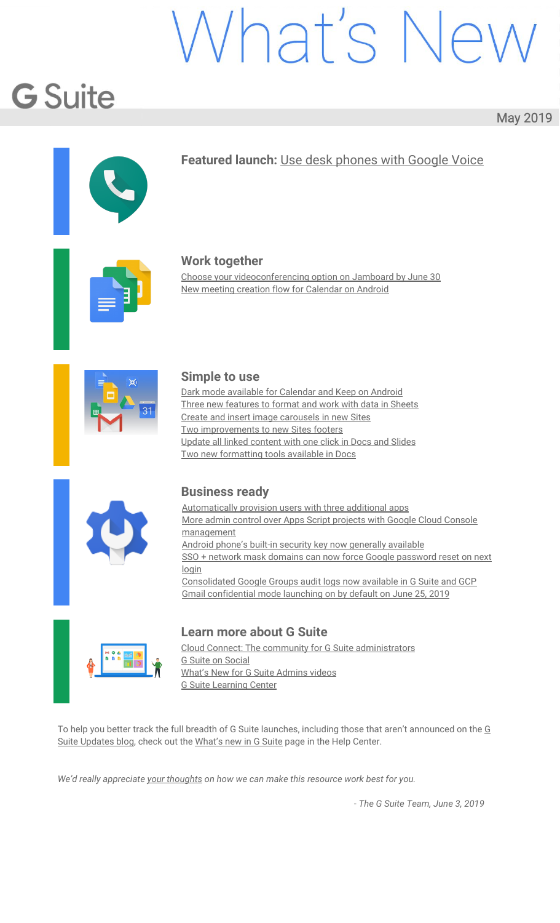**Admins:** As an administrator, you can determine whether your users can use confidential mode by navigating to *Apps > G Suite > Settings for Gmail > User settings* and selecting from the following options:

**Disable:** This option will prevent users in your domain from sending emails with confidential mode.

**Enable now (beta):** This option will enable confidential mode, which is currently in beta. The feature will remain enabled when it enters into general availability on June 25, 2019. **Enable when the feature is in general availability:** This is the default option and will enable confidential mode when this feature becomes generally available on June 25, 2019.

| Confidential mode<br>Applied at 'cardoza.company' | Allow users to send emails with rights management, including expiration and revocation. Also restricts recipient options to<br>forward, print, copy, or download messages and attachments.<br>Learn more about Gmail confidential mode, and how it works with Vault |
|---------------------------------------------------|---------------------------------------------------------------------------------------------------------------------------------------------------------------------------------------------------------------------------------------------------------------------|
|                                                   | Disable                                                                                                                                                                                                                                                             |
|                                                   | Enable now (beta). Remains enabled for general availability                                                                                                                                                                                                         |
|                                                   | Enable when the feature is in general availability<br>$\circledcirc$                                                                                                                                                                                                |
|                                                   | Changes may take up to 24 hours to propagate to all users.<br>т<br>Prior changes can be seen in Audit log                                                                                                                                                           |
|                                                   | SAVE<br>CANCEL                                                                                                                                                                                                                                                      |

**End users:** Once Gmail confidential mode launches, you can follow the steps in this Help Center article to send & open [confidential](https://support.google.com/mail/answer/7674059) emails.

#### **Additional details**

#### **How Gmail confidential mode works with Vault and eDiscovery**

When a user sends a confidential message, Gmail replaces the message body and attachments with a link. Only the subject and body containing the link are sent via SMTP. This means that if your users send or receive messages in Gmail confidential mode, Vault will retain, preserve, search and export confidential mode messages. The message body of received messages will be accessible in Vault only if the sender of the message is from within your organization.

#### **Helpful links**

Help Center: Protect Gmail messages with [confidential](https://support.google.com/a/answer/7684332) mode Help Center: Send & open [confidential](https://support.google.com/mail/answer/7674059) emails Help Center: Vault and Gmail [confidential](https://support.google.com/vault/answer/9000913) mod[e](https://support.google.com/vault/answer/9000913)